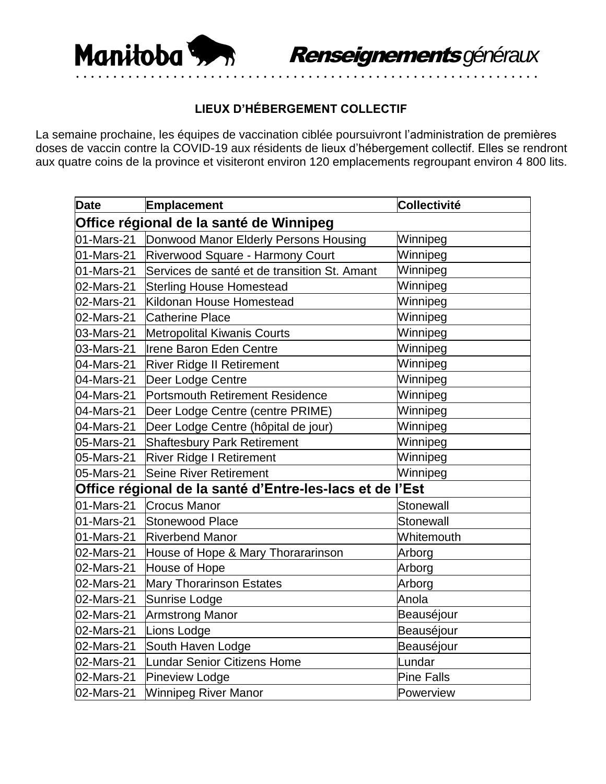

## **LIEUX D'HÉBERGEMENT COLLECTIF**

La semaine prochaine, les équipes de vaccination ciblée poursuivront l'administration de premières doses de vaccin contre la COVID-19 aux résidents de lieux d'hébergement collectif. Elles se rendront aux quatre coins de la province et visiteront environ 120 emplacements regroupant environ 4 800 lits.

| <b>Date</b>                                              | Emplacement                                  | Collectivité      |  |  |
|----------------------------------------------------------|----------------------------------------------|-------------------|--|--|
| Office régional de la santé de Winnipeg                  |                                              |                   |  |  |
| 01-Mars-21                                               | Donwood Manor Elderly Persons Housing        | Winnipeg          |  |  |
| 01-Mars-21                                               | Riverwood Square - Harmony Court             | Winnipeg          |  |  |
| 01-Mars-21                                               | Services de santé et de transition St. Amant | Winnipeg          |  |  |
| 02-Mars-21                                               | <b>Sterling House Homestead</b>              | Winnipeg          |  |  |
| 02-Mars-21                                               | Kildonan House Homestead                     | Winnipeg          |  |  |
| 02-Mars-21                                               | <b>Catherine Place</b>                       | Winnipeg          |  |  |
| 03-Mars-21                                               | <b>Metropolital Kiwanis Courts</b>           | Winnipeg          |  |  |
| 03-Mars-21                                               | Irene Baron Eden Centre                      | Winnipeg          |  |  |
| 04-Mars-21                                               | <b>River Ridge II Retirement</b>             | Winnipeg          |  |  |
| 04-Mars-21                                               | Deer Lodge Centre                            | Winnipeg          |  |  |
| 04-Mars-21                                               | Portsmouth Retirement Residence              | Winnipeg          |  |  |
| 04-Mars-21                                               | Deer Lodge Centre (centre PRIME)             | Winnipeg          |  |  |
| 04-Mars-21                                               | Deer Lodge Centre (hôpital de jour)          | Winnipeg          |  |  |
| 05-Mars-21                                               | <b>Shaftesbury Park Retirement</b>           | Winnipeg          |  |  |
| 05-Mars-21                                               | <b>River Ridge I Retirement</b>              | Winnipeg          |  |  |
| 05-Mars-21                                               | <b>Seine River Retirement</b>                | Winnipeg          |  |  |
| Office régional de la santé d'Entre-les-lacs et de l'Est |                                              |                   |  |  |
| 01-Mars-21                                               | <b>Crocus Manor</b>                          | Stonewall         |  |  |
| 01-Mars-21                                               | <b>Stonewood Place</b>                       | Stonewall         |  |  |
| 01-Mars-21                                               | <b>Riverbend Manor</b>                       | Whitemouth        |  |  |
| 02-Mars-21                                               | House of Hope & Mary Thorararinson           | Arborg            |  |  |
| 02-Mars-21                                               | House of Hope                                | Arborg            |  |  |
| 02-Mars-21                                               | <b>Mary Thorarinson Estates</b>              | Arborg            |  |  |
| 02-Mars-21                                               | Sunrise Lodge                                | Anola             |  |  |
| 02-Mars-21                                               | <b>Armstrong Manor</b>                       | Beauséjour        |  |  |
| 02-Mars-21                                               | Lions Lodge                                  | Beauséjour        |  |  |
| 02-Mars-21                                               | South Haven Lodge                            | Beauséjour        |  |  |
| 02-Mars-21                                               | Lundar Senior Citizens Home                  | Lundar            |  |  |
| 02-Mars-21                                               | Pineview Lodge                               | <b>Pine Falls</b> |  |  |
| 02-Mars-21                                               | <b>Winnipeg River Manor</b>                  | Powerview         |  |  |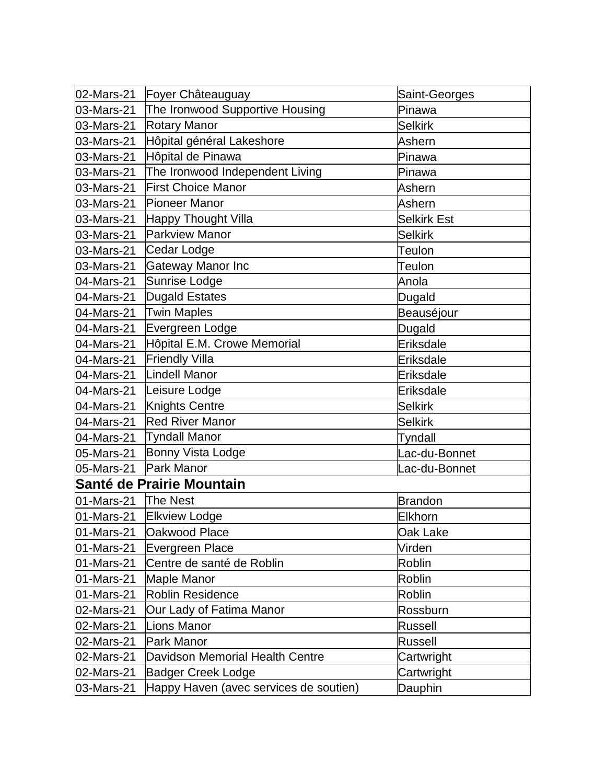| 02-Mars-21 |                                                      |                         |
|------------|------------------------------------------------------|-------------------------|
| 03-Mars-21 | Foyer Châteauguay<br>The Ironwood Supportive Housing | Saint-Georges<br>Pinawa |
| 03-Mars-21 | <b>Rotary Manor</b>                                  | <b>Selkirk</b>          |
| 03-Mars-21 | Hôpital général Lakeshore                            | Ashern                  |
| 03-Mars-21 | Hôpital de Pinawa                                    | Pinawa                  |
| 03-Mars-21 | The Ironwood Independent Living                      | Pinawa                  |
| 03-Mars-21 | <b>First Choice Manor</b>                            | Ashern                  |
| 03-Mars-21 | Pioneer Manor                                        | Ashern                  |
| 03-Mars-21 | Happy Thought Villa                                  | <b>Selkirk Est</b>      |
| 03-Mars-21 | <b>Parkview Manor</b>                                | <b>Selkirk</b>          |
| 03-Mars-21 | Cedar Lodge                                          | <b>Teulon</b>           |
| 03-Mars-21 | Gateway Manor Inc                                    | Teulon                  |
| 04-Mars-21 | Sunrise Lodge                                        | Anola                   |
| 04-Mars-21 | Dugald Estates                                       | Dugald                  |
| 04-Mars-21 | <b>Twin Maples</b>                                   | Beauséjour              |
| 04-Mars-21 | Evergreen Lodge                                      | Dugald                  |
| 04-Mars-21 | Hôpital E.M. Crowe Memorial                          | Eriksdale               |
| 04-Mars-21 | <b>Friendly Villa</b>                                | Eriksdale               |
| 04-Mars-21 | Lindell Manor                                        | Eriksdale               |
| 04-Mars-21 | Leisure Lodge                                        | Eriksdale               |
| 04-Mars-21 | Knights Centre                                       | <b>Selkirk</b>          |
| 04-Mars-21 | <b>Red River Manor</b>                               | <b>Selkirk</b>          |
| 04-Mars-21 | <b>Tyndall Manor</b>                                 | Tyndall                 |
| 05-Mars-21 | Bonny Vista Lodge                                    | Lac-du-Bonnet           |
| 05-Mars-21 | Park Manor                                           | Lac-du-Bonnet           |
|            | Santé de Prairie Mountain                            |                         |
| 01-Mars-21 | The Nest                                             | <b>Brandon</b>          |
| 01-Mars-21 | <b>Elkview Lodge</b>                                 | Elkhorn                 |
| 01-Mars-21 | Oakwood Place                                        | Oak Lake                |
| 01-Mars-21 | Evergreen Place                                      | Virden                  |
| 01-Mars-21 | Centre de santé de Roblin                            | Roblin                  |
| 01-Mars-21 | <b>Maple Manor</b>                                   | Roblin                  |
| 01-Mars-21 | <b>Roblin Residence</b>                              | Roblin                  |
| 02-Mars-21 | Our Lady of Fatima Manor                             | Rossburn                |
| 02-Mars-21 | <b>Lions Manor</b>                                   | Russell                 |
| 02-Mars-21 | <b>Park Manor</b>                                    | Russell                 |
| 02-Mars-21 | Davidson Memorial Health Centre                      | Cartwright              |
| 02-Mars-21 | <b>Badger Creek Lodge</b>                            | Cartwright              |
| 03-Mars-21 | Happy Haven (avec services de soutien)               | Dauphin                 |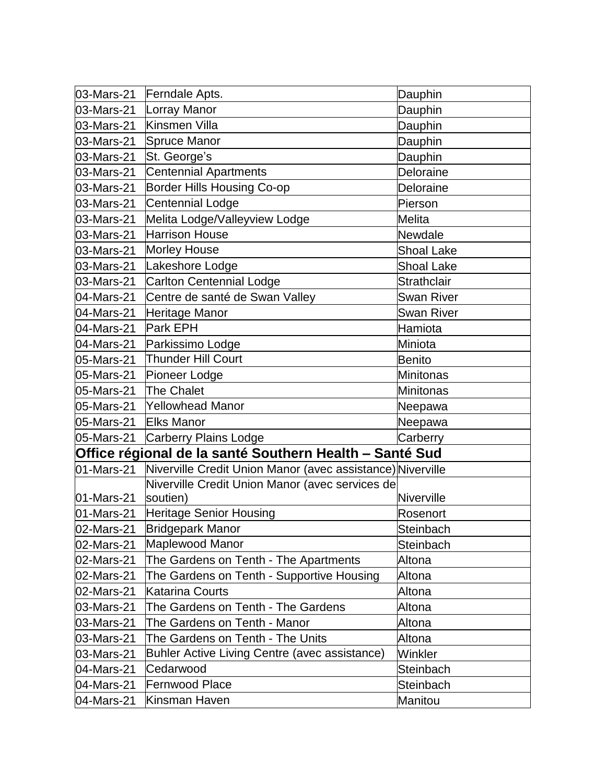| 03-Mars-21 | Ferndale Apts.                                             | Dauphin            |
|------------|------------------------------------------------------------|--------------------|
| 03-Mars-21 | Lorray Manor                                               | Dauphin            |
| 03-Mars-21 | Kinsmen Villa                                              | Dauphin            |
| 03-Mars-21 | Spruce Manor                                               | Dauphin            |
| 03-Mars-21 | St. George's                                               | Dauphin            |
| 03-Mars-21 | Centennial Apartments                                      | Deloraine          |
| 03-Mars-21 | <b>Border Hills Housing Co-op</b>                          | Deloraine          |
| 03-Mars-21 | Centennial Lodge                                           | Pierson            |
| 03-Mars-21 | Melita Lodge/Valleyview Lodge                              | <b>Melita</b>      |
| 03-Mars-21 | <b>Harrison House</b>                                      | Newdale            |
| 03-Mars-21 | Morley House                                               | <b>Shoal Lake</b>  |
| 03-Mars-21 | Lakeshore Lodge                                            | <b>Shoal Lake</b>  |
| 03-Mars-21 | Carlton Centennial Lodge                                   | <b>Strathclair</b> |
| 04-Mars-21 | Centre de santé de Swan Valley                             | Swan River         |
| 04-Mars-21 | Heritage Manor                                             | Swan River         |
| 04-Mars-21 | <b>Park EPH</b>                                            | Hamiota            |
| 04-Mars-21 | Parkissimo Lodge                                           | Miniota            |
| 05-Mars-21 | <b>Thunder Hill Court</b>                                  | <b>Benito</b>      |
| 05-Mars-21 | Pioneer Lodge                                              | <b>Minitonas</b>   |
| 05-Mars-21 | <b>The Chalet</b>                                          | Minitonas          |
| 05-Mars-21 | <b>Yellowhead Manor</b>                                    | Neepawa            |
| 05-Mars-21 | <b>Elks Manor</b>                                          | Neepawa            |
| 05-Mars-21 | Carberry Plains Lodge                                      | Carberry           |
|            | Office régional de la santé Southern Health - Santé Sud    |                    |
| 01-Mars-21 | Niverville Credit Union Manor (avec assistance) Niverville |                    |
|            | Niverville Credit Union Manor (avec services de            |                    |
| 01-Mars-21 | soutien)                                                   | Niverville         |
| 01-Mars-21 | <b>Heritage Senior Housing</b>                             | Rosenort           |
| 02-Mars-21 | Bridgepark Manor                                           | Steinbach          |
| 02-Mars-21 | Maplewood Manor                                            | Steinbach          |
| 02-Mars-21 | The Gardens on Tenth - The Apartments                      | Altona             |
| 02-Mars-21 | The Gardens on Tenth - Supportive Housing                  | Altona             |
| 02-Mars-21 | <b>Katarina Courts</b>                                     | Altona             |
| 03-Mars-21 | The Gardens on Tenth - The Gardens                         | Altona             |
| 03-Mars-21 | The Gardens on Tenth - Manor                               | Altona             |
| 03-Mars-21 | The Gardens on Tenth - The Units                           | Altona             |
| 03-Mars-21 | <b>Buhler Active Living Centre (avec assistance)</b>       | Winkler            |
| 04-Mars-21 | Cedarwood                                                  | Steinbach          |
| 04-Mars-21 | <b>Fernwood Place</b>                                      | Steinbach          |
| 04-Mars-21 | Kinsman Haven                                              | Manitou            |